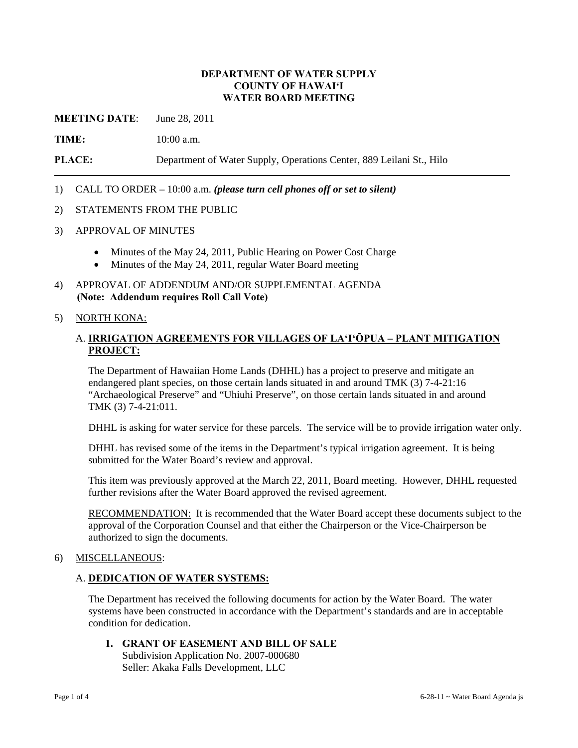### **DEPARTMENT OF WATER SUPPLY COUNTY OF HAWAI'I WATER BOARD MEETING**

**MEETING DATE**: June 28, 2011

**TIME:** 10:00 a.m.

**PLACE:** Department of Water Supply, Operations Center, 889 Leilani St., Hilo

### 1) CALL TO ORDER – 10:00 a.m. *(please turn cell phones off or set to silent)*

#### 2) STATEMENTS FROM THE PUBLIC

- 3) APPROVAL OF MINUTES
	- Minutes of the May 24, 2011, Public Hearing on Power Cost Charge
	- Minutes of the May 24, 2011, regular Water Board meeting
- 4) APPROVAL OF ADDENDUM AND/OR SUPPLEMENTAL AGENDA **(Note: Addendum requires Roll Call Vote)**

#### 5) NORTH KONA:

## A. **IRRIGATION AGREEMENTS FOR VILLAGES OF LA'I'ŌPUA – PLANT MITIGATION PROJECT:**

The Department of Hawaiian Home Lands (DHHL) has a project to preserve and mitigate an endangered plant species, on those certain lands situated in and around TMK (3) 7-4-21:16 "Archaeological Preserve" and "Uhiuhi Preserve", on those certain lands situated in and around TMK (3) 7-4-21:011.

DHHL is asking for water service for these parcels. The service will be to provide irrigation water only.

DHHL has revised some of the items in the Department's typical irrigation agreement. It is being submitted for the Water Board's review and approval.

This item was previously approved at the March 22, 2011, Board meeting. However, DHHL requested further revisions after the Water Board approved the revised agreement.

RECOMMENDATION: It is recommended that the Water Board accept these documents subject to the approval of the Corporation Counsel and that either the Chairperson or the Vice-Chairperson be authorized to sign the documents.

#### 6) MISCELLANEOUS:

#### A. **DEDICATION OF WATER SYSTEMS:**

The Department has received the following documents for action by the Water Board. The water systems have been constructed in accordance with the Department's standards and are in acceptable condition for dedication.

**1. GRANT OF EASEMENT AND BILL OF SALE**  Subdivision Application No. 2007-000680 Seller: Akaka Falls Development, LLC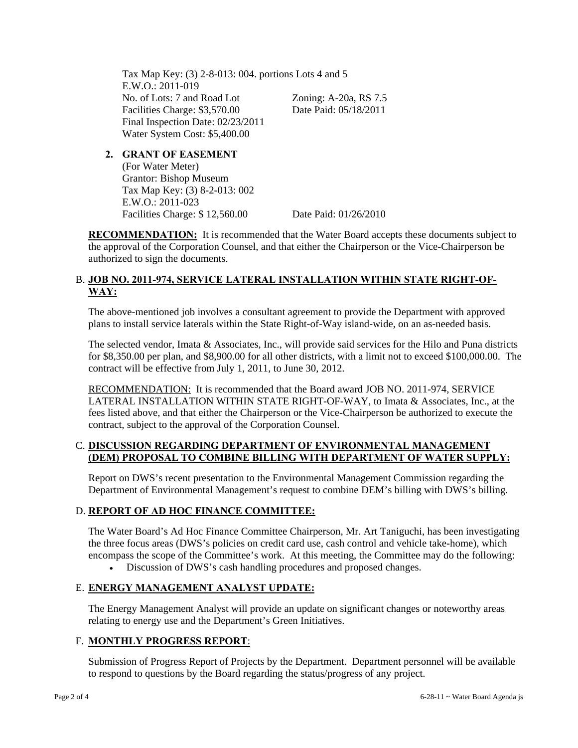Tax Map Key: (3) 2-8-013: 004. portions Lots 4 and 5 E.W.O.: 2011-019 No. of Lots: 7 and Road Lot Zoning: A-20a, RS 7.5 Facilities Charge: \$3,570.00 Date Paid: 05/18/2011 Final Inspection Date: 02/23/2011 Water System Cost: \$5,400.00

**2. GRANT OF EASEMENT** (For Water Meter) Grantor: Bishop Museum Tax Map Key: (3) 8-2-013: 002 E.W.O.: 2011-023 Facilities Charge: \$ 12,560.00 Date Paid: 01/26/2010

**RECOMMENDATION:** It is recommended that the Water Board accepts these documents subject to the approval of the Corporation Counsel, and that either the Chairperson or the Vice-Chairperson be authorized to sign the documents.

# B. **JOB NO. 2011-974, SERVICE LATERAL INSTALLATION WITHIN STATE RIGHT-OF-WAY:**

The above-mentioned job involves a consultant agreement to provide the Department with approved plans to install service laterals within the State Right-of-Way island-wide, on an as-needed basis.

The selected vendor, Imata & Associates, Inc., will provide said services for the Hilo and Puna districts for \$8,350.00 per plan, and \$8,900.00 for all other districts, with a limit not to exceed \$100,000.00. The contract will be effective from July 1, 2011, to June 30, 2012.

RECOMMENDATION: It is recommended that the Board award JOB NO. 2011-974, SERVICE LATERAL INSTALLATION WITHIN STATE RIGHT-OF-WAY, to Imata & Associates, Inc., at the fees listed above, and that either the Chairperson or the Vice-Chairperson be authorized to execute the contract, subject to the approval of the Corporation Counsel.

# C. **DISCUSSION REGARDING DEPARTMENT OF ENVIRONMENTAL MANAGEMENT (DEM) PROPOSAL TO COMBINE BILLING WITH DEPARTMENT OF WATER SUPPLY:**

Report on DWS's recent presentation to the Environmental Management Commission regarding the Department of Environmental Management's request to combine DEM's billing with DWS's billing.

# D. **REPORT OF AD HOC FINANCE COMMITTEE:**

The Water Board's Ad Hoc Finance Committee Chairperson, Mr. Art Taniguchi, has been investigating the three focus areas (DWS's policies on credit card use, cash control and vehicle take-home), which encompass the scope of the Committee's work. At this meeting, the Committee may do the following:

Discussion of DWS's cash handling procedures and proposed changes.

# E. **ENERGY MANAGEMENT ANALYST UPDATE:**

The Energy Management Analyst will provide an update on significant changes or noteworthy areas relating to energy use and the Department's Green Initiatives.

# F. **MONTHLY PROGRESS REPORT**:

Submission of Progress Report of Projects by the Department. Department personnel will be available to respond to questions by the Board regarding the status/progress of any project.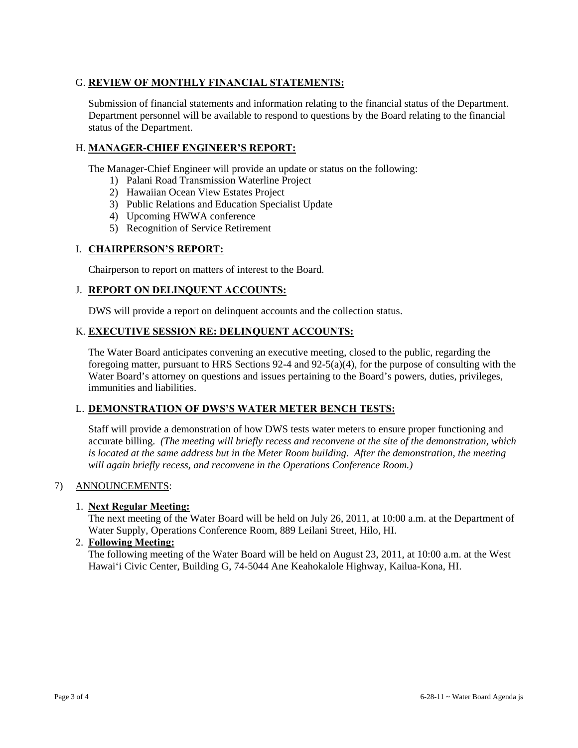# G. **REVIEW OF MONTHLY FINANCIAL STATEMENTS:**

Submission of financial statements and information relating to the financial status of the Department. Department personnel will be available to respond to questions by the Board relating to the financial status of the Department.

# H. **MANAGER-CHIEF ENGINEER'S REPORT:**

The Manager-Chief Engineer will provide an update or status on the following:

- 1) Palani Road Transmission Waterline Project
- 2) Hawaiian Ocean View Estates Project
- 3) Public Relations and Education Specialist Update
- 4) Upcoming HWWA conference
- 5) Recognition of Service Retirement

## I. **CHAIRPERSON'S REPORT:**

Chairperson to report on matters of interest to the Board.

## J. **REPORT ON DELINQUENT ACCOUNTS:**

DWS will provide a report on delinquent accounts and the collection status.

## K. **EXECUTIVE SESSION RE: DELINQUENT ACCOUNTS:**

The Water Board anticipates convening an executive meeting, closed to the public, regarding the foregoing matter, pursuant to HRS Sections 92-4 and 92-5(a)(4), for the purpose of consulting with the Water Board's attorney on questions and issues pertaining to the Board's powers, duties, privileges, immunities and liabilities.

### L. **DEMONSTRATION OF DWS'S WATER METER BENCH TESTS:**

Staff will provide a demonstration of how DWS tests water meters to ensure proper functioning and accurate billing. *(The meeting will briefly recess and reconvene at the site of the demonstration, which is located at the same address but in the Meter Room building. After the demonstration, the meeting will again briefly recess, and reconvene in the Operations Conference Room.)*

### 7) ANNOUNCEMENTS:

### 1. **Next Regular Meeting:**

The next meeting of the Water Board will be held on July 26, 2011, at 10:00 a.m. at the Department of Water Supply, Operations Conference Room, 889 Leilani Street, Hilo, HI.

## 2. **Following Meeting:**

The following meeting of the Water Board will be held on August 23, 2011, at 10:00 a.m. at the West Hawai'i Civic Center, Building G, 74-5044 Ane Keahokalole Highway, Kailua-Kona, HI.